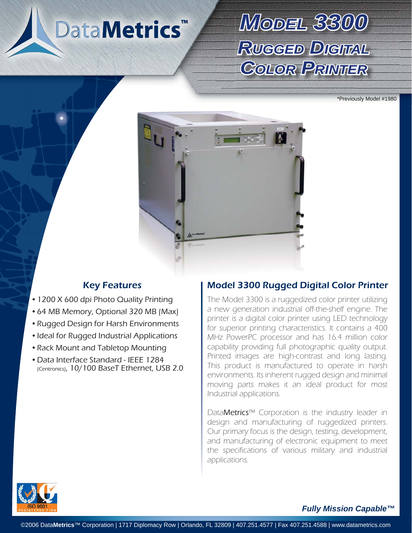# DataMetrics<sup>™</sup>

## *MODEL3300* **Rugged Digital** *COLORPRINTER*

\*Previously Model #1980



- 1200 X 600 dpi Photo Quality Printing
- 64 MB Memory, Optional 320 MB (Max)
- Rugged Design for Harsh Environments
- Ideal for Rugged Industrial Applications
- Rack Mount and Tabletop Mounting
- Data Interface Standard IEEE 1284 (Centronics), 10/100 BaseT Ethernet, USB 2.0

### Key Features **Model 3300 Rugged Digital Color Printer**

The Model 3300 is a ruggedized color printer utilizing a new generation industrial off-the-shelf engine. The printer is a digital color printer using LED technology for superior printing characteristics. It contains a 400 MHz PowerPC processor and has 16.4 million color capability providing full photographic quality output. Printed images are high-contrast and long lasting. This product is manufactured to operate in harsh environments. Its inherent rugged design and minimal moving parts makes it an ideal product for most Industrial applications.

DataMetrics™ Corporation is the industry leader in design and manufacturing of ruggedized printers. Our primary focus is the design, testing, development, and manufacturing of electronic equipment to meet the specifications of various military and industrial applications.



#### *Fully Mission Capable™*